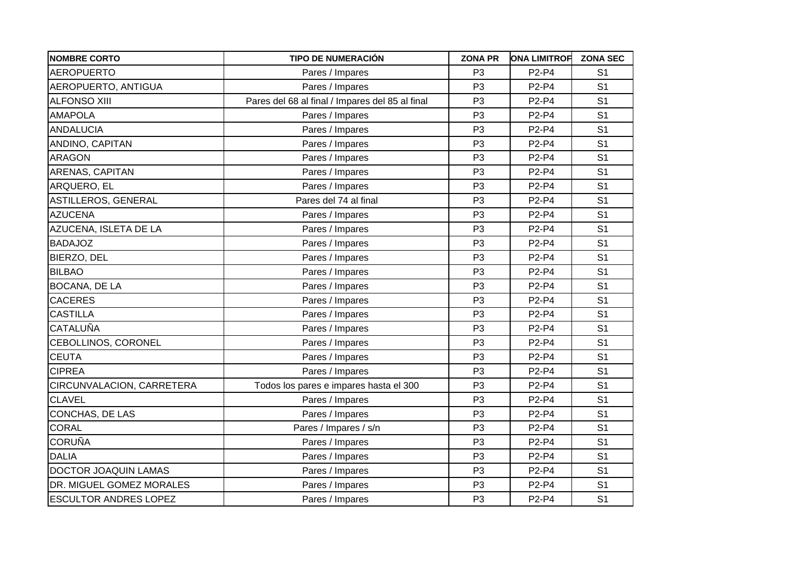| <b>NOMBRE CORTO</b>          | <b>TIPO DE NUMERACIÓN</b>                       | <b>ZONA PR</b> | <b>ONA LIMITROF</b> | <b>ZONA SEC</b> |
|------------------------------|-------------------------------------------------|----------------|---------------------|-----------------|
| AEROPUERTO                   | Pares / Impares                                 | P <sub>3</sub> | P2-P4               | S <sub>1</sub>  |
| AEROPUERTO, ANTIGUA          | Pares / Impares                                 | P <sub>3</sub> | P2-P4               | S <sub>1</sub>  |
| <b>ALFONSO XIII</b>          | Pares del 68 al final / Impares del 85 al final | P <sub>3</sub> | P2-P4               | S <sub>1</sub>  |
| <b>AMAPOLA</b>               | Pares / Impares                                 | P <sub>3</sub> | P2-P4               | S <sub>1</sub>  |
| <b>ANDALUCIA</b>             | Pares / Impares                                 | P <sub>3</sub> | P2-P4               | S <sub>1</sub>  |
| ANDINO, CAPITAN              | Pares / Impares                                 | P <sub>3</sub> | P2-P4               | S <sub>1</sub>  |
| ARAGON                       | Pares / Impares                                 | P <sub>3</sub> | P2-P4               | S <sub>1</sub>  |
| ARENAS, CAPITAN              | Pares / Impares                                 | P <sub>3</sub> | P2-P4               | S <sub>1</sub>  |
| ARQUERO, EL                  | Pares / Impares                                 | P <sub>3</sub> | P2-P4               | S <sub>1</sub>  |
| ASTILLEROS, GENERAL          | Pares del 74 al final                           | P <sub>3</sub> | P2-P4               | S <sub>1</sub>  |
| <b>AZUCENA</b>               | Pares / Impares                                 | P <sub>3</sub> | P2-P4               | S <sub>1</sub>  |
| AZUCENA, ISLETA DE LA        | Pares / Impares                                 | P <sub>3</sub> | P2-P4               | S <sub>1</sub>  |
| <b>BADAJOZ</b>               | Pares / Impares                                 | P <sub>3</sub> | P2-P4               | S <sub>1</sub>  |
| BIERZO, DEL                  | Pares / Impares                                 | P <sub>3</sub> | P2-P4               | S <sub>1</sub>  |
| <b>BILBAO</b>                | Pares / Impares                                 | P <sub>3</sub> | P2-P4               | S <sub>1</sub>  |
| <b>BOCANA, DE LA</b>         | Pares / Impares                                 | P <sub>3</sub> | P2-P4               | S <sub>1</sub>  |
| <b>CACERES</b>               | Pares / Impares                                 | P <sub>3</sub> | P2-P4               | S <sub>1</sub>  |
| <b>CASTILLA</b>              | Pares / Impares                                 | P <sub>3</sub> | P2-P4               | S <sub>1</sub>  |
| <b>CATALUÑA</b>              | Pares / Impares                                 | P <sub>3</sub> | P2-P4               | S <sub>1</sub>  |
| CEBOLLINOS, CORONEL          | Pares / Impares                                 | P <sub>3</sub> | P2-P4               | S <sub>1</sub>  |
| <b>CEUTA</b>                 | Pares / Impares                                 | P <sub>3</sub> | P2-P4               | S <sub>1</sub>  |
| <b>CIPREA</b>                | Pares / Impares                                 | P <sub>3</sub> | P2-P4               | S <sub>1</sub>  |
| CIRCUNVALACION, CARRETERA    | Todos los pares e impares hasta el 300          | P <sub>3</sub> | P2-P4               | S <sub>1</sub>  |
| <b>CLAVEL</b>                | Pares / Impares                                 | P <sub>3</sub> | P2-P4               | S <sub>1</sub>  |
| CONCHAS, DE LAS              | Pares / Impares                                 | P <sub>3</sub> | P2-P4               | S <sub>1</sub>  |
| <b>CORAL</b>                 | Pares / Impares / s/n                           | P <sub>3</sub> | P2-P4               | S <sub>1</sub>  |
| <b>CORUÑA</b>                | Pares / Impares                                 | P <sub>3</sub> | P2-P4               | S <sub>1</sub>  |
| <b>DALIA</b>                 | Pares / Impares                                 | P <sub>3</sub> | P2-P4               | S <sub>1</sub>  |
| <b>DOCTOR JOAQUIN LAMAS</b>  | Pares / Impares                                 | P <sub>3</sub> | P2-P4               | S <sub>1</sub>  |
| DR. MIGUEL GOMEZ MORALES     | Pares / Impares                                 | P <sub>3</sub> | P2-P4               | S <sub>1</sub>  |
| <b>ESCULTOR ANDRES LOPEZ</b> | Pares / Impares                                 | P <sub>3</sub> | P2-P4               | S <sub>1</sub>  |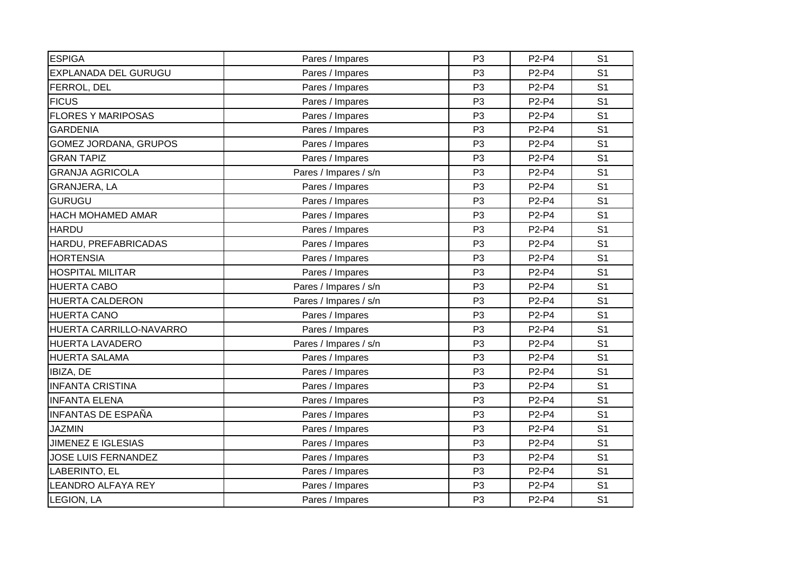| <b>ESPIGA</b>              | Pares / Impares       | P <sub>3</sub> | P2-P4 | S <sub>1</sub> |
|----------------------------|-----------------------|----------------|-------|----------------|
| EXPLANADA DEL GURUGU       | Pares / Impares       | P <sub>3</sub> | P2-P4 | S <sub>1</sub> |
| FERROL, DEL                | Pares / Impares       | P <sub>3</sub> | P2-P4 | S <sub>1</sub> |
| <b>FICUS</b>               | Pares / Impares       | P <sub>3</sub> | P2-P4 | S <sub>1</sub> |
| <b>FLORES Y MARIPOSAS</b>  | Pares / Impares       | P <sub>3</sub> | P2-P4 | S <sub>1</sub> |
| <b>GARDENIA</b>            | Pares / Impares       | P <sub>3</sub> | P2-P4 | S <sub>1</sub> |
| GOMEZ JORDANA, GRUPOS      | Pares / Impares       | P <sub>3</sub> | P2-P4 | S <sub>1</sub> |
| <b>GRAN TAPIZ</b>          | Pares / Impares       | P <sub>3</sub> | P2-P4 | S <sub>1</sub> |
| <b>GRANJA AGRICOLA</b>     | Pares / Impares / s/n | P <sub>3</sub> | P2-P4 | S <sub>1</sub> |
| GRANJERA, LA               | Pares / Impares       | P <sub>3</sub> | P2-P4 | S <sub>1</sub> |
| <b>GURUGU</b>              | Pares / Impares       | P <sub>3</sub> | P2-P4 | S <sub>1</sub> |
| HACH MOHAMED AMAR          | Pares / Impares       | P <sub>3</sub> | P2-P4 | S <sub>1</sub> |
| <b>HARDU</b>               | Pares / Impares       | P <sub>3</sub> | P2-P4 | S <sub>1</sub> |
| HARDU, PREFABRICADAS       | Pares / Impares       | P <sub>3</sub> | P2-P4 | S <sub>1</sub> |
| <b>HORTENSIA</b>           | Pares / Impares       | P <sub>3</sub> | P2-P4 | S <sub>1</sub> |
| <b>HOSPITAL MILITAR</b>    | Pares / Impares       | P <sub>3</sub> | P2-P4 | S <sub>1</sub> |
| <b>HUERTA CABO</b>         | Pares / Impares / s/n | P <sub>3</sub> | P2-P4 | S <sub>1</sub> |
| <b>HUERTA CALDERON</b>     | Pares / Impares / s/n | P <sub>3</sub> | P2-P4 | S <sub>1</sub> |
| <b>HUERTA CANO</b>         | Pares / Impares       | P <sub>3</sub> | P2-P4 | S <sub>1</sub> |
| HUERTA CARRILLO-NAVARRO    | Pares / Impares       | P <sub>3</sub> | P2-P4 | S <sub>1</sub> |
| HUERTA LAVADERO            | Pares / Impares / s/n | P <sub>3</sub> | P2-P4 | S <sub>1</sub> |
| <b>HUERTA SALAMA</b>       | Pares / Impares       | P <sub>3</sub> | P2-P4 | S <sub>1</sub> |
| IBIZA, DE                  | Pares / Impares       | P <sub>3</sub> | P2-P4 | S <sub>1</sub> |
| <b>INFANTA CRISTINA</b>    | Pares / Impares       | P <sub>3</sub> | P2-P4 | S <sub>1</sub> |
| <b>INFANTA ELENA</b>       | Pares / Impares       | P <sub>3</sub> | P2-P4 | S <sub>1</sub> |
| <b>INFANTAS DE ESPAÑA</b>  | Pares / Impares       | P <sub>3</sub> | P2-P4 | S <sub>1</sub> |
| <b>JAZMIN</b>              | Pares / Impares       | P <sub>3</sub> | P2-P4 | S <sub>1</sub> |
| <b>JIMENEZ E IGLESIAS</b>  | Pares / Impares       | P <sub>3</sub> | P2-P4 | S <sub>1</sub> |
| <b>JOSE LUIS FERNANDEZ</b> | Pares / Impares       | P <sub>3</sub> | P2-P4 | S <sub>1</sub> |
| LABERINTO, EL              | Pares / Impares       | P <sub>3</sub> | P2-P4 | S <sub>1</sub> |
| LEANDRO ALFAYA REY         | Pares / Impares       | P <sub>3</sub> | P2-P4 | S <sub>1</sub> |
| <b>LEGION, LA</b>          | Pares / Impares       | P <sub>3</sub> | P2-P4 | S <sub>1</sub> |
|                            |                       |                |       |                |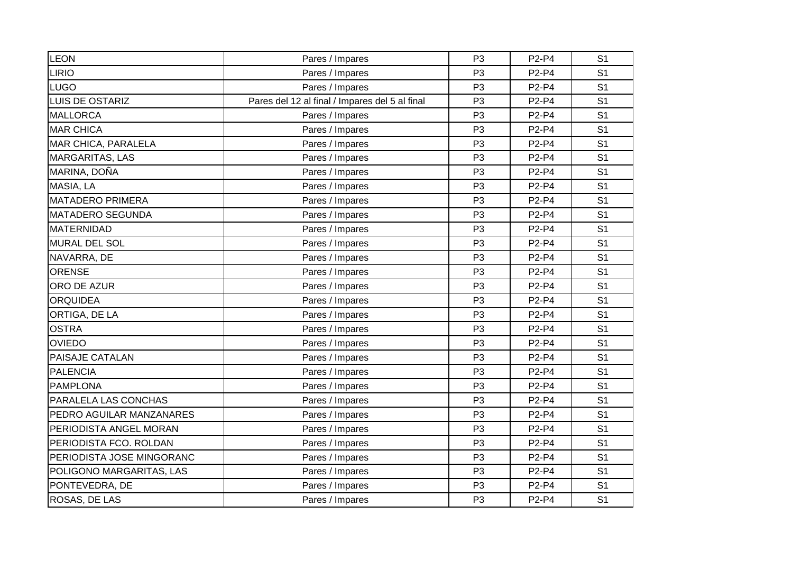| LEON                      | Pares / Impares                                | P <sub>3</sub> | P2-P4 | S <sub>1</sub> |
|---------------------------|------------------------------------------------|----------------|-------|----------------|
| <b>LIRIO</b>              | Pares / Impares                                | P <sub>3</sub> | P2-P4 | S <sub>1</sub> |
| <b>LUGO</b>               | Pares / Impares                                | P <sub>3</sub> | P2-P4 | S <sub>1</sub> |
| <b>LUIS DE OSTARIZ</b>    | Pares del 12 al final / Impares del 5 al final | P <sub>3</sub> | P2-P4 | S <sub>1</sub> |
| <b>MALLORCA</b>           | Pares / Impares                                | P <sub>3</sub> | P2-P4 | S <sub>1</sub> |
| <b>MAR CHICA</b>          | Pares / Impares                                | P <sub>3</sub> | P2-P4 | S <sub>1</sub> |
| MAR CHICA, PARALELA       | Pares / Impares                                | P <sub>3</sub> | P2-P4 | S <sub>1</sub> |
| <b>MARGARITAS, LAS</b>    | Pares / Impares                                | P <sub>3</sub> | P2-P4 | S <sub>1</sub> |
| MARINA, DOÑA              | Pares / Impares                                | P <sub>3</sub> | P2-P4 | S <sub>1</sub> |
| MASIA, LA                 | Pares / Impares                                | P <sub>3</sub> | P2-P4 | S <sub>1</sub> |
| <b>MATADERO PRIMERA</b>   | Pares / Impares                                | P <sub>3</sub> | P2-P4 | S <sub>1</sub> |
| <b>MATADERO SEGUNDA</b>   | Pares / Impares                                | P <sub>3</sub> | P2-P4 | S <sub>1</sub> |
| <b>MATERNIDAD</b>         | Pares / Impares                                | P <sub>3</sub> | P2-P4 | S <sub>1</sub> |
| MURAL DEL SOL             | Pares / Impares                                | P <sub>3</sub> | P2-P4 | S <sub>1</sub> |
| NAVARRA, DE               | Pares / Impares                                | P <sub>3</sub> | P2-P4 | S <sub>1</sub> |
| <b>ORENSE</b>             | Pares / Impares                                | P <sub>3</sub> | P2-P4 | S <sub>1</sub> |
| ORO DE AZUR               | Pares / Impares                                | P <sub>3</sub> | P2-P4 | S <sub>1</sub> |
| <b>ORQUIDEA</b>           | Pares / Impares                                | P <sub>3</sub> | P2-P4 | S <sub>1</sub> |
| ORTIGA, DE LA             | Pares / Impares                                | P <sub>3</sub> | P2-P4 | S <sub>1</sub> |
| <b>OSTRA</b>              | Pares / Impares                                | P <sub>3</sub> | P2-P4 | S <sub>1</sub> |
| <b>OVIEDO</b>             | Pares / Impares                                | P <sub>3</sub> | P2-P4 | S <sub>1</sub> |
| PAISAJE CATALAN           | Pares / Impares                                | P <sub>3</sub> | P2-P4 | S <sub>1</sub> |
| <b>PALENCIA</b>           | Pares / Impares                                | P <sub>3</sub> | P2-P4 | S <sub>1</sub> |
| <b>PAMPLONA</b>           | Pares / Impares                                | P <sub>3</sub> | P2-P4 | S <sub>1</sub> |
| PARALELA LAS CONCHAS      | Pares / Impares                                | P <sub>3</sub> | P2-P4 | S <sub>1</sub> |
| PEDRO AGUILAR MANZANARES  | Pares / Impares                                | P <sub>3</sub> | P2-P4 | S <sub>1</sub> |
| PERIODISTA ANGEL MORAN    | Pares / Impares                                | P <sub>3</sub> | P2-P4 | S <sub>1</sub> |
| PERIODISTA FCO. ROLDAN    | Pares / Impares                                | P <sub>3</sub> | P2-P4 | S <sub>1</sub> |
| PERIODISTA JOSE MINGORANC | Pares / Impares                                | P <sub>3</sub> | P2-P4 | S <sub>1</sub> |
| POLIGONO MARGARITAS, LAS  | Pares / Impares                                | P <sub>3</sub> | P2-P4 | S <sub>1</sub> |
| PONTEVEDRA, DE            | Pares / Impares                                | P <sub>3</sub> | P2-P4 | S <sub>1</sub> |
| ROSAS, DE LAS             | Pares / Impares                                | P <sub>3</sub> | P2-P4 | S <sub>1</sub> |
|                           |                                                |                |       |                |